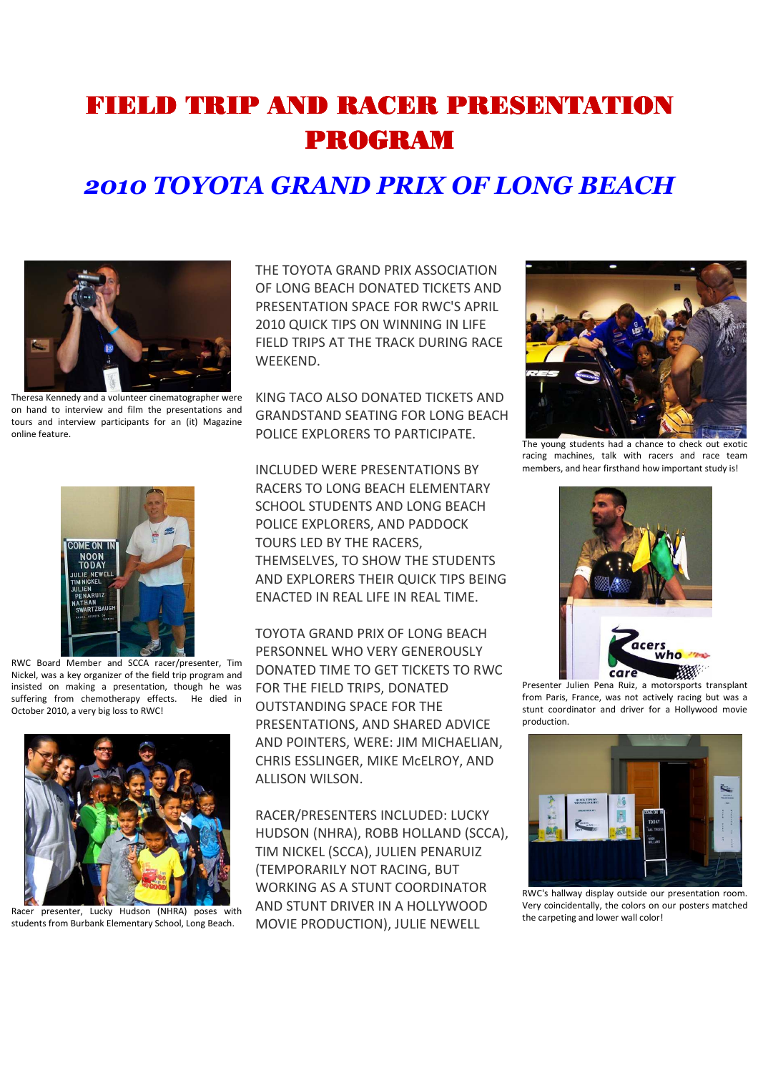## FIELD TRIP AND RACER PRESENTATION PROGRAM

## *2010 TOYOTA GRAND PRIX OF LONG BEACH*



Theresa Kennedy and a volunteer cinematographer were on hand to interview and film the presentations and tours and interview participants for an (it) Magazine online feature.



RWC Board Member and SCCA racer/presenter, Tim Nickel, was a key organizer of the field trip program and insisted on making a presentation, though he was suffering from chemotherapy effects. He died in October 2010, a very big loss to RWC!



Racer presenter, Lucky Hudson (NHRA) poses with students from Burbank Elementary School, Long Beach.

THE TOYOTA GRAND PRIX ASSOCIATION OF LONG BEACH DONATED TICKETS AND PRESENTATION SPACE FOR RWC'S APRIL 2010 QUICK TIPS ON WINNING IN LIFE FIELD TRIPS AT THE TRACK DURING RACE WEEKEND.

KING TACO ALSO DONATED TICKETS AND GRANDSTAND SEATING FOR LONG BEACH POLICE EXPLORERS TO PARTICIPATE.

INCLUDED WERE PRESENTATIONS BY RACERS TO LONG BEACH ELEMENTARY SCHOOL STUDENTS AND LONG BEACH POLICE EXPLORERS, AND PADDOCK TOURS LED BY THE RACERS, THEMSELVES, TO SHOW THE STUDENTS AND EXPLORERS THEIR QUICK TIPS BEING ENACTED IN REAL LIFE IN REAL TIME.

TOYOTA GRAND PRIX OF LONG BEACH PERSONNEL WHO VERY GENEROUSLY DONATED TIME TO GET TICKETS TO RWC FOR THE FIELD TRIPS, DONATED OUTSTANDING SPACE FOR THE PRESENTATIONS, AND SHARED ADVICE AND POINTERS, WERE: JIM MICHAELIAN, CHRIS ESSLINGER, MIKE McELROY, AND ALLISON WILSON.

RACER/PRESENTERS INCLUDED: LUCKY HUDSON (NHRA), ROBB HOLLAND (SCCA), TIM NICKEL (SCCA), JULIEN PENARUIZ (TEMPORARILY NOT RACING, BUT WORKING AS A STUNT COORDINATOR AND STUNT DRIVER IN A HOLLYWOOD MOVIE PRODUCTION), JULIE NEWELL



The young students had a chance to check out exotic racing machines, talk with racers and race team members, and hear firsthand how important study is!



Presenter Julien Pena Ruiz, a motorsports transplant from Paris, France, was not actively racing but was a stunt coordinator and driver for a Hollywood movie production.



RWC's hallway display outside our presentation room. Very coincidentally, the colors on our posters matched the carpeting and lower wall color!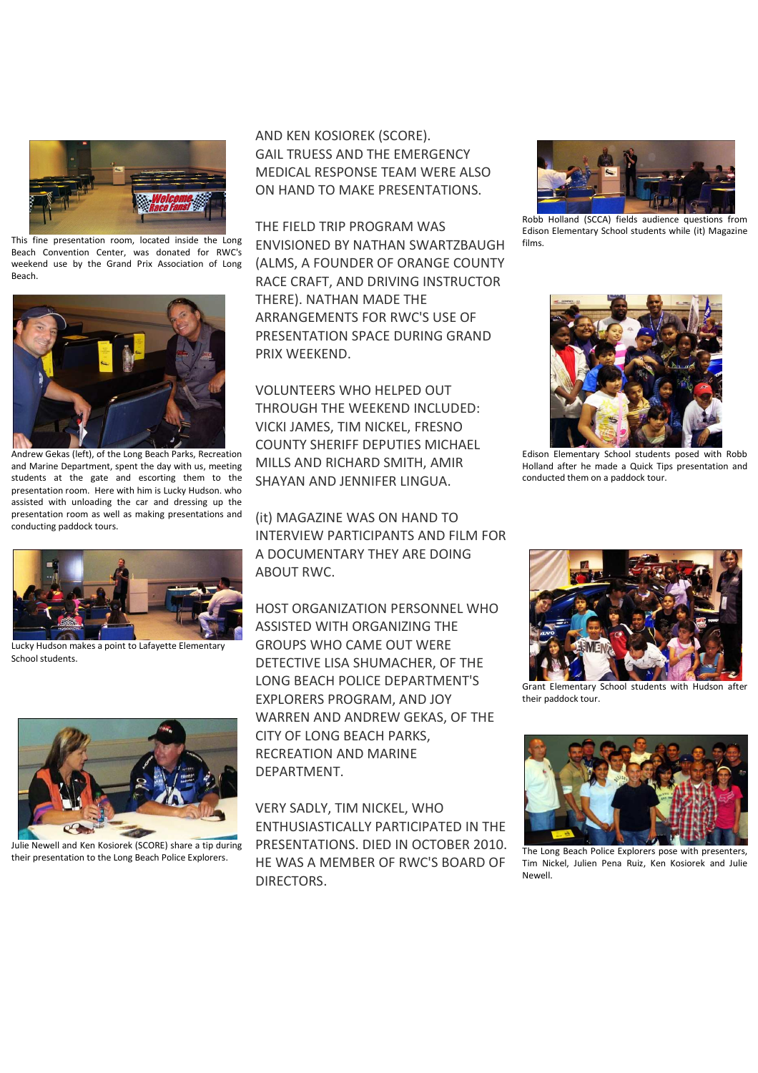

This fine presentation room, located inside the Long Beach Convention Center, was donated for RWC's weekend use by the Grand Prix Association of Long Beach.



Andrew Gekas (left), of the Long Beach Parks, Recreation and Marine Department, spent the day with us, meeting students at the gate and escorting them to the presentation room. Here with him is Lucky Hudson. who assisted with unloading the car and dressing up the presentation room as well as making presentations and conducting paddock tours.



Lucky Hudson makes a point to Lafayette Elementary School students.



Julie Newell and Ken Kosiorek (SCORE) share a tip during their presentation to the Long Beach Police Explorers.

AND KEN KOSIOREK (SCORE). GAIL TRUESS AND THE EMERGENCY MEDICAL RESPONSE TEAM WERE ALSO ON HAND TO MAKE PRESENTATIONS.

THE FIELD TRIP PROGRAM WAS ENVISIONED BY NATHAN SWARTZBAUGH (ALMS, A FOUNDER OF ORANGE COUNTY RACE CRAFT, AND DRIVING INSTRUCTOR THERE). NATHAN MADE THE ARRANGEMENTS FOR RWC'S USE OF PRESENTATION SPACE DURING GRAND PRIX WEEKEND.

VOLUNTEERS WHO HELPED OUT THROUGH THE WEEKEND INCLUDED: VICKI JAMES, TIM NICKEL, FRESNO COUNTY SHERIFF DEPUTIES MICHAEL MILLS AND RICHARD SMITH, AMIR SHAYAN AND JENNIFER LINGUA.

(it) MAGAZINE WAS ON HAND TO INTERVIEW PARTICIPANTS AND FILM FOR A DOCUMENTARY THEY ARE DOING ABOUT RWC.

HOST ORGANIZATION PERSONNEL WHO ASSISTED WITH ORGANIZING THE GROUPS WHO CAME OUT WERE DETECTIVE LISA SHUMACHER, OF THE LONG BEACH POLICE DEPARTMENT'S EXPLORERS PROGRAM, AND JOY WARREN AND ANDREW GEKAS, OF THE CITY OF LONG BEACH PARKS, RECREATION AND MARINE DEPARTMENT.

VERY SADLY, TIM NICKEL, WHO ENTHUSIASTICALLY PARTICIPATED IN THE PRESENTATIONS. DIED IN OCTOBER 2010. HE WAS A MEMBER OF RWC'S BOARD OF DIRECTORS.



Robb Holland (SCCA) fields audience questions from Edison Elementary School students while (it) Magazine films.



Edison Elementary School students posed with Robb Holland after he made a Quick Tips presentation and conducted them on a paddock tour.



Grant Elementary School students with Hudson after their paddock tour.



The Long Beach Police Explorers pose with presenters, Tim Nickel, Julien Pena Ruiz, Ken Kosiorek and Julie Newell.